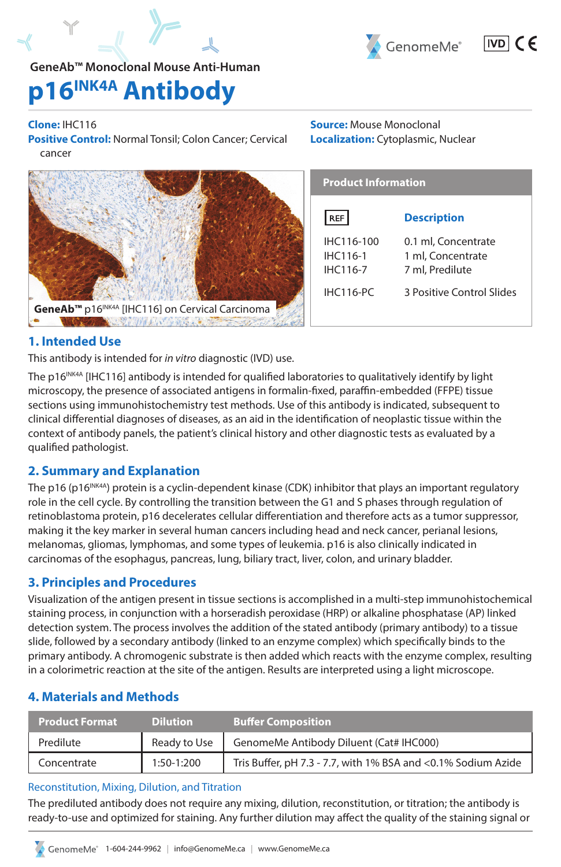

 $|VD|$   $C \in$ 

## **GeneAb™ Monoclonal Mouse Anti-Human**

# **p16INK4A Antibody**

## **Clone:** IHC116

**Positive Control:** Normal Tonsil; Colon Cancer; Cervical cancer



**Source:** Mouse Monoclonal **Localization:** Cytoplasmic, Nuclear

| <b>Product Information</b>         |                                                             |  |
|------------------------------------|-------------------------------------------------------------|--|
| REF                                | <b>Description</b>                                          |  |
| IHC116-100<br>IHC116-1<br>IHC116-7 | 0.1 ml, Concentrate<br>1 ml. Concentrate<br>7 ml, Predilute |  |
| <b>IHC116-PC</b>                   | 3 Positive Control Slides                                   |  |

## **1. Intended Use**

This antibody is intended for *in vitro* diagnostic (IVD) use.

The p16<sup>INK4A</sup> [IHC116] antibody is intended for qualified laboratories to qualitatively identify by light microscopy, the presence of associated antigens in formalin-fixed, paraffin-embedded (FFPE) tissue sections using immunohistochemistry test methods. Use of this antibody is indicated, subsequent to clinical differential diagnoses of diseases, as an aid in the identification of neoplastic tissue within the context of antibody panels, the patient's clinical history and other diagnostic tests as evaluated by a qualified pathologist.

## **2. Summary and Explanation**

The p16 (p16<sup>INK4A</sup>) protein is a cyclin-dependent kinase (CDK) inhibitor that plays an important regulatory role in the cell cycle. By controlling the transition between the G1 and S phases through regulation of retinoblastoma protein, p16 decelerates cellular differentiation and therefore acts as a tumor suppressor, making it the key marker in several human cancers including head and neck cancer, perianal lesions, melanomas, gliomas, lymphomas, and some types of leukemia. p16 is also clinically indicated in carcinomas of the esophagus, pancreas, lung, biliary tract, liver, colon, and urinary bladder.

## **3. Principles and Procedures**

Visualization of the antigen present in tissue sections is accomplished in a multi-step immunohistochemical staining process, in conjunction with a horseradish peroxidase (HRP) or alkaline phosphatase (AP) linked detection system. The process involves the addition of the stated antibody (primary antibody) to a tissue slide, followed by a secondary antibody (linked to an enzyme complex) which specifically binds to the primary antibody. A chromogenic substrate is then added which reacts with the enzyme complex, resulting in a colorimetric reaction at the site of the antigen. Results are interpreted using a light microscope.

## **4. Materials and Methods**

| <b>Product Format</b> | <b>Dilution</b> | <b>Buffer Composition</b>                                     |
|-----------------------|-----------------|---------------------------------------------------------------|
| Predilute             | Ready to Use    | GenomeMe Antibody Diluent (Cat# IHC000)                       |
| Concentrate           | $1:50-1:200$    | Tris Buffer, pH 7.3 - 7.7, with 1% BSA and <0.1% Sodium Azide |

## Reconstitution, Mixing, Dilution, and Titration

The prediluted antibody does not require any mixing, dilution, reconstitution, or titration; the antibody is ready-to-use and optimized for staining. Any further dilution may affect the quality of the staining signal or

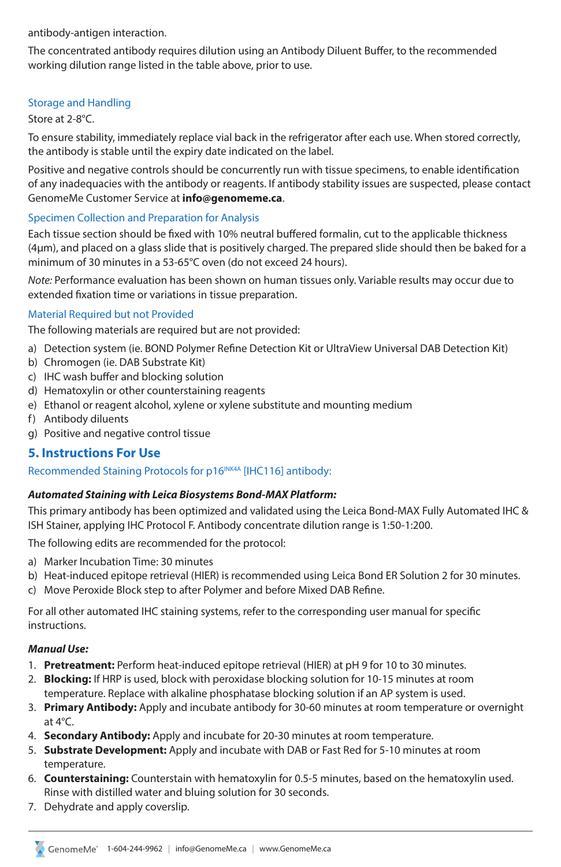antibody-antigen interaction.

The concentrated antibody requires dilution using an Antibody Diluent Buffer, to the recommended working dilution range listed in the table above, prior to use.

#### Storage and Handling

#### Store at 2-8°C.

To ensure stability, immediately replace vial back in the refrigerator after each use. When stored correctly, the antibody is stable until the expiry date indicated on the label.

Positive and negative controls should be concurrently run with tissue specimens, to enable identification of any inadequacies with the antibody or reagents. If antibody stability issues are suspected, please contact GenomeMe Customer Service at **info@genomeme.ca**.

#### Specimen Collection and Preparation for Analysis

Each tissue section should be fixed with 10% neutral buffered formalin, cut to the applicable thickness (4µm), and placed on a glass slide that is positively charged. The prepared slide should then be baked for a minimum of 30 minutes in a 53-65°C oven (do not exceed 24 hours).

*Note:* Performance evaluation has been shown on human tissues only. Variable results may occur due to extended fixation time or variations in tissue preparation.

#### Material Required but not Provided

The following materials are required but are not provided:

- a) Detection system (ie. BOND Polymer Refine Detection Kit or UltraView Universal DAB Detection Kit)
- b) Chromogen (ie. DAB Substrate Kit)
- c) IHC wash buffer and blocking solution
- d) Hematoxylin or other counterstaining reagents
- e) Ethanol or reagent alcohol, xylene or xylene substitute and mounting medium
- f) Antibody diluents
- g) Positive and negative control tissue

#### **5. Instructions For Use**

#### Recommended Staining Protocols for p16<sup>INK4A</sup> [IHC116] antibody:

#### *Automated Staining with Leica Biosystems Bond-MAX Platform:*

This primary antibody has been optimized and validated using the Leica Bond-MAX Fully Automated IHC & ISH Stainer, applying IHC Protocol F. Antibody concentrate dilution range is 1:50-1:200.

The following edits are recommended for the protocol:

- a) Marker Incubation Time: 30 minutes
- b) Heat-induced epitope retrieval (HIER) is recommended using Leica Bond ER Solution 2 for 30 minutes.
- c) Move Peroxide Block step to after Polymer and before Mixed DAB Refine.

For all other automated IHC staining systems, refer to the corresponding user manual for specific instructions.

#### *Manual Use:*

- 1. **Pretreatment:** Perform heat-induced epitope retrieval (HIER) at pH 9 for 10 to 30 minutes.
- 2. **Blocking:** If HRP is used, block with peroxidase blocking solution for 10-15 minutes at room temperature. Replace with alkaline phosphatase blocking solution if an AP system is used.
- 3. **Primary Antibody:** Apply and incubate antibody for 30-60 minutes at room temperature or overnight at 4°C.
- 4. **Secondary Antibody:** Apply and incubate for 20-30 minutes at room temperature.
- 5. **Substrate Development:** Apply and incubate with DAB or Fast Red for 5-10 minutes at room temperature.
- 6. **Counterstaining:** Counterstain with hematoxylin for 0.5-5 minutes, based on the hematoxylin used. Rinse with distilled water and bluing solution for 30 seconds.
- 7. Dehydrate and apply coverslip.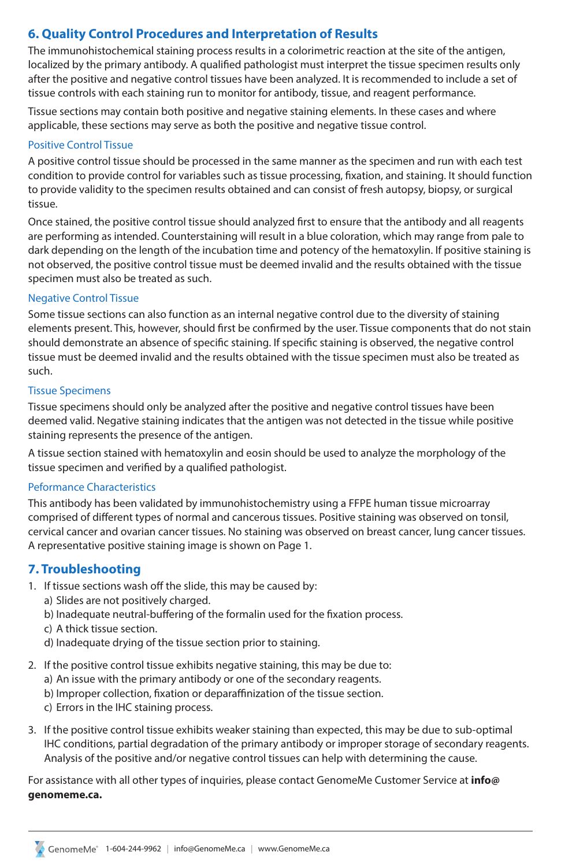## **6. Quality Control Procedures and Interpretation of Results**

The immunohistochemical staining process results in a colorimetric reaction at the site of the antigen, localized by the primary antibody. A qualified pathologist must interpret the tissue specimen results only after the positive and negative control tissues have been analyzed. It is recommended to include a set of tissue controls with each staining run to monitor for antibody, tissue, and reagent performance.

Tissue sections may contain both positive and negative staining elements. In these cases and where applicable, these sections may serve as both the positive and negative tissue control.

#### Positive Control Tissue

A positive control tissue should be processed in the same manner as the specimen and run with each test condition to provide control for variables such as tissue processing, fixation, and staining. It should function to provide validity to the specimen results obtained and can consist of fresh autopsy, biopsy, or surgical tissue.

Once stained, the positive control tissue should analyzed first to ensure that the antibody and all reagents are performing as intended. Counterstaining will result in a blue coloration, which may range from pale to dark depending on the length of the incubation time and potency of the hematoxylin. If positive staining is not observed, the positive control tissue must be deemed invalid and the results obtained with the tissue specimen must also be treated as such.

#### Negative Control Tissue

Some tissue sections can also function as an internal negative control due to the diversity of staining elements present. This, however, should first be confirmed by the user. Tissue components that do not stain should demonstrate an absence of specific staining. If specific staining is observed, the negative control tissue must be deemed invalid and the results obtained with the tissue specimen must also be treated as such.

#### Tissue Specimens

Tissue specimens should only be analyzed after the positive and negative control tissues have been deemed valid. Negative staining indicates that the antigen was not detected in the tissue while positive staining represents the presence of the antigen.

A tissue section stained with hematoxylin and eosin should be used to analyze the morphology of the tissue specimen and verified by a qualified pathologist.

#### Peformance Characteristics

This antibody has been validated by immunohistochemistry using a FFPE human tissue microarray comprised of different types of normal and cancerous tissues. Positive staining was observed on tonsil, cervical cancer and ovarian cancer tissues. No staining was observed on breast cancer, lung cancer tissues. A representative positive staining image is shown on Page 1.

## **7. Troubleshooting**

- 1. If tissue sections wash off the slide, this may be caused by:
	- a) Slides are not positively charged.
	- b) Inadequate neutral-buffering of the formalin used for the fixation process.
	- c) A thick tissue section.
	- d) Inadequate drying of the tissue section prior to staining.
- 2. If the positive control tissue exhibits negative staining, this may be due to:
	- a) An issue with the primary antibody or one of the secondary reagents.
	- b) Improper collection, fixation or deparaffinization of the tissue section.
	- c) Errors in the IHC staining process.
- 3. If the positive control tissue exhibits weaker staining than expected, this may be due to sub-optimal IHC conditions, partial degradation of the primary antibody or improper storage of secondary reagents. Analysis of the positive and/or negative control tissues can help with determining the cause.

For assistance with all other types of inquiries, please contact GenomeMe Customer Service at **info@ genomeme.ca.**